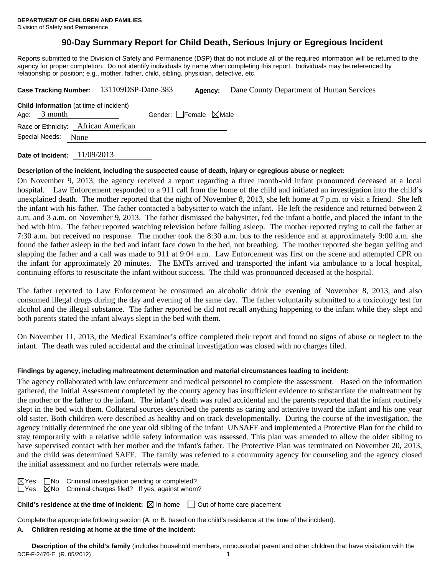## **90-Day Summary Report for Child Death, Serious Injury or Egregious Incident**

Reports submitted to the Division of Safety and Permanence (DSP) that do not include all of the required information will be returned to the agency for proper completion. Do not identify individuals by name when completing this report. Individuals may be referenced by relationship or position; e.g., mother, father, child, sibling, physician, detective, etc.

|                                                                  | Case Tracking Number: 131109DSP-Dane-383 | Agency:                         | Dane County Department of Human Services |  |  |  |
|------------------------------------------------------------------|------------------------------------------|---------------------------------|------------------------------------------|--|--|--|
| <b>Child Information</b> (at time of incident)<br>Age: $3$ month |                                          | Gender: Female $\boxtimes$ Male |                                          |  |  |  |
| Race or Ethnicity: African American<br>Special Needs: None       |                                          |                                 |                                          |  |  |  |
|                                                                  |                                          |                                 |                                          |  |  |  |

**Date of Incident:** 11/09/2013

### **Description of the incident, including the suspected cause of death, injury or egregious abuse or neglect:**

On November 9, 2013, the agency received a report regarding a three month-old infant pronounced deceased at a local hospital. Law Enforcement responded to a 911 call from the home of the child and initiated an investigation into the child's unexplained death. The mother reported that the night of November 8, 2013, she left home at 7 p.m. to visit a friend. She left the infant with his father. The father contacted a babysitter to watch the infant. He left the residence and returned between 2 a.m. and 3 a.m. on November 9, 2013. The father dismissed the babysitter, fed the infant a bottle, and placed the infant in the bed with him. The father reported watching television before falling asleep. The mother reported trying to call the father at 7:30 a.m. but received no response. The mother took the 8:30 a.m. bus to the residence and at approximately 9:00 a.m. she found the father asleep in the bed and infant face down in the bed, not breathing. The mother reported she began yelling and slapping the father and a call was made to 911 at 9:04 a.m. Law Enforcement was first on the scene and attempted CPR on the infant for approximately 20 minutes. The EMTs arrived and transported the infant via ambulance to a local hospital, continuing efforts to resuscitate the infant without success. The child was pronounced deceased at the hospital.

The father reported to Law Enforcement he consumed an alcoholic drink the evening of November 8, 2013, and also consumed illegal drugs during the day and evening of the same day. The father voluntarily submitted to a toxicology test for alcohol and the illegal substance. The father reported he did not recall anything happening to the infant while they slept and both parents stated the infant always slept in the bed with them.

On November 11, 2013, the Medical Examiner's office completed their report and found no signs of abuse or neglect to the infant. The death was ruled accidental and the criminal investigation was closed with no charges filed.

### **Findings by agency, including maltreatment determination and material circumstances leading to incident:**

The agency collaborated with law enforcement and medical personnel to complete the assessment. Based on the information gathered, the Initial Assessment completed by the county agency has insufficient evidence to substantiate the maltreatment by the mother or the father to the infant. The infant's death was ruled accidental and the parents reported that the infant routinely slept in the bed with them. Collateral sources described the parents as caring and attentive toward the infant and his one year old sister. Both children were described as healthy and on track developmentally. During the course of the investigation, the agency initially determined the one year old sibling of the infant UNSAFE and implemented a Protective Plan for the child to stay temporarily with a relative while safety information was assessed. This plan was amended to allow the older sibling to have supervised contact with her mother and the infant's father. The Protective Plan was terminated on November 20, 2013, and the child was determined SAFE. The family was referred to a community agency for counseling and the agency closed the initial assessment and no further referrals were made.

 $\boxtimes$ Yes  $\Box$ No Criminal investigation pending or completed?  $\Box$ Yes  $\Box$ No Criminal charges filed? If yes, against whom?

**Child's residence at the time of incident:**  $\boxtimes$  In-home  $\Box$  Out-of-home care placement

Complete the appropriate following section (A. or B. based on the child's residence at the time of the incident).

### **A. Children residing at home at the time of the incident:**

DCF-F-2476-E (R. 05/2012) 1 **Description of the child's family** (includes household members, noncustodial parent and other children that have visitation with the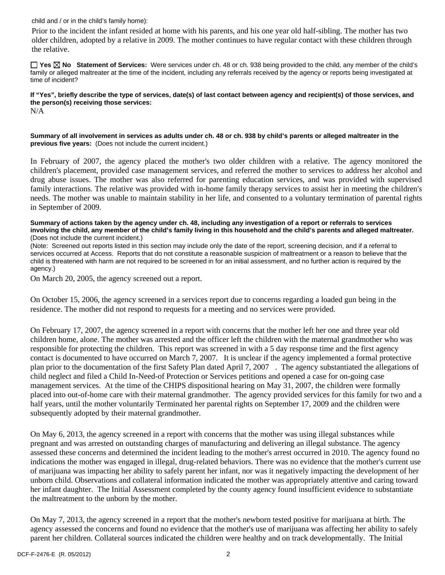child and / or in the child's family home):

 Prior to the incident the infant resided at home with his parents, and his one year old half-sibling. The mother has two older children, adopted by a relative in 2009. The mother continues to have regular contact with these children through the relative.

**Yes No Statement of Services:** Were services under ch. 48 or ch. 938 being provided to the child, any member of the child's family or alleged maltreater at the time of the incident, including any referrals received by the agency or reports being investigated at time of incident?

**If "Yes", briefly describe the type of services, date(s) of last contact between agency and recipient(s) of those services, and the person(s) receiving those services:**  N/A

**Summary of all involvement in services as adults under ch. 48 or ch. 938 by child's parents or alleged maltreater in the previous five years:** (Does not include the current incident.)

In February of 2007, the agency placed the mother's two older children with a relative. The agency monitored the children's placement, provided case management services, and referred the mother to services to address her alcohol and drug abuse issues. The mother was also referred for parenting education services, and was provided with supervised family interactions. The relative was provided with in-home family therapy services to assist her in meeting the children's needs. The mother was unable to maintain stability in her life, and consented to a voluntary termination of parental rights in September of 2009.

**Summary of actions taken by the agency under ch. 48, including any investigation of a report or referrals to services involving the child, any member of the child's family living in this household and the child's parents and alleged maltreater.** (Does not include the current incident.)

(Note: Screened out reports listed in this section may include only the date of the report, screening decision, and if a referral to services occurred at Access. Reports that do not constitute a reasonable suspicion of maltreatment or a reason to believe that the child is threatened with harm are not required to be screened in for an initial assessment, and no further action is required by the agency.)

On March 20, 2005, the agency screened out a report.

On October 15, 2006, the agency screened in a services report due to concerns regarding a loaded gun being in the residence. The mother did not respond to requests for a meeting and no services were provided.

On February 17, 2007, the agency screened in a report with concerns that the mother left her one and three year old children home, alone. The mother was arrested and the officer left the children with the maternal grandmother who was responsible for protecting the children. This report was screened in with a 5 day response time and the first agency contact is documented to have occurred on March 7, 2007. It is unclear if the agency implemented a formal protective plan prior to the documentation of the first Safety Plan dated April 7, 2007 . The agency substantiated the allegations of child neglect and filed a Child In-Need-of Protection or Services petitions and opened a case for on-going case management services. At the time of the CHIPS dispositional hearing on May 31, 2007, the children were formally placed into out-of-home care with their maternal grandmother. The agency provided services for this family for two and a half years, until the mother voluntarily Terminated her parental rights on September 17, 2009 and the children were subsequently adopted by their maternal grandmother.

On May 6, 2013, the agency screened in a report with concerns that the mother was using illegal substances while pregnant and was arrested on outstanding charges of manufacturing and delivering an illegal substance. The agency assessed these concerns and determined the incident leading to the mother's arrest occurred in 2010. The agency found no indications the mother was engaged in illegal, drug-related behaviors. There was no evidence that the mother's current use of marijuana was impacting her ability to safely parent her infant, nor was it negatively impacting the development of her unborn child. Observations and collateral information indicated the mother was appropriately attentive and caring toward her infant daughter. The Initial Assessment completed by the county agency found insufficient evidence to substantiate the maltreatment to the unborn by the mother.

On May 7, 2013, the agency screened in a report that the mother's newborn tested positive for marijuana at birth. The agency assessed the concerns and found no evidence that the mother's use of marijuana was affecting her ability to safely parent her children. Collateral sources indicated the children were healthy and on track developmentally. The Initial